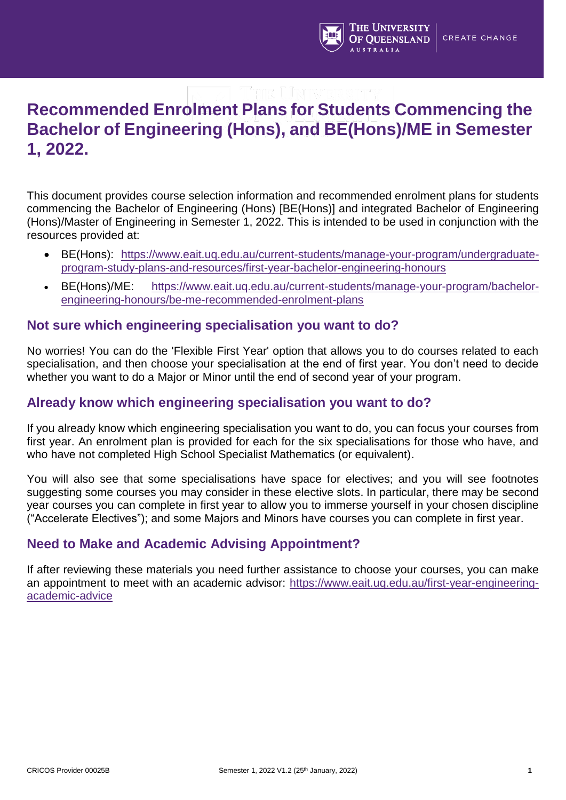

## **Recommended Enrolment Plans for Students Commencing the Bachelor of Engineering (Hons), and BE(Hons)/ME in Semester 1, 2022.**

This document provides course selection information and recommended enrolment plans for students commencing the Bachelor of Engineering (Hons) [BE(Hons)] and integrated Bachelor of Engineering (Hons)/Master of Engineering in Semester 1, 2022. This is intended to be used in conjunction with the resources provided at:

- BE(Hons): [https://www.eait.uq.edu.au/current-students/manage-your-program/undergraduate](https://www.eait.uq.edu.au/current-students/manage-your-program/undergraduate-program-study-plans-and-resources/first-year-bachelor-engineering-honours)[program-study-plans-and-resources/first-year-bachelor-engineering-honours](https://www.eait.uq.edu.au/current-students/manage-your-program/undergraduate-program-study-plans-and-resources/first-year-bachelor-engineering-honours)
- BE(Hons)/ME: [https://www.eait.uq.edu.au/current-students/manage-your-program/bachelor](https://www.eait.uq.edu.au/current-students/manage-your-program/bachelor-engineering-honours/be-me-recommended-enrolment-plans)[engineering-honours/be-me-recommended-enrolment-plans](https://www.eait.uq.edu.au/current-students/manage-your-program/bachelor-engineering-honours/be-me-recommended-enrolment-plans)

#### **Not sure which engineering specialisation you want to do?**

No worries! You can do the 'Flexible First Year' option that allows you to do courses related to each specialisation, and then choose your specialisation at the end of first year. You don't need to decide whether you want to do a Major or Minor until the end of second year of your program.

#### **Already know which engineering specialisation you want to do?**

If you already know which engineering specialisation you want to do, you can focus your courses from first year. An enrolment plan is provided for each for the six specialisations for those who have, and who have not completed High School Specialist Mathematics (or equivalent).

You will also see that some specialisations have space for electives; and you will see footnotes suggesting some courses you may consider in these elective slots. In particular, there may be second year courses you can complete in first year to allow you to immerse yourself in your chosen discipline ("Accelerate Electives"); and some Majors and Minors have courses you can complete in first year.

#### **Need to Make and Academic Advising Appointment?**

If after reviewing these materials you need further assistance to choose your courses, you can make an appointment to meet with an academic advisor: [https://www.eait.uq.edu.au/first-year-engineering](https://www.eait.uq.edu.au/first-year-engineering-academic-advice)[academic-advice](https://www.eait.uq.edu.au/first-year-engineering-academic-advice)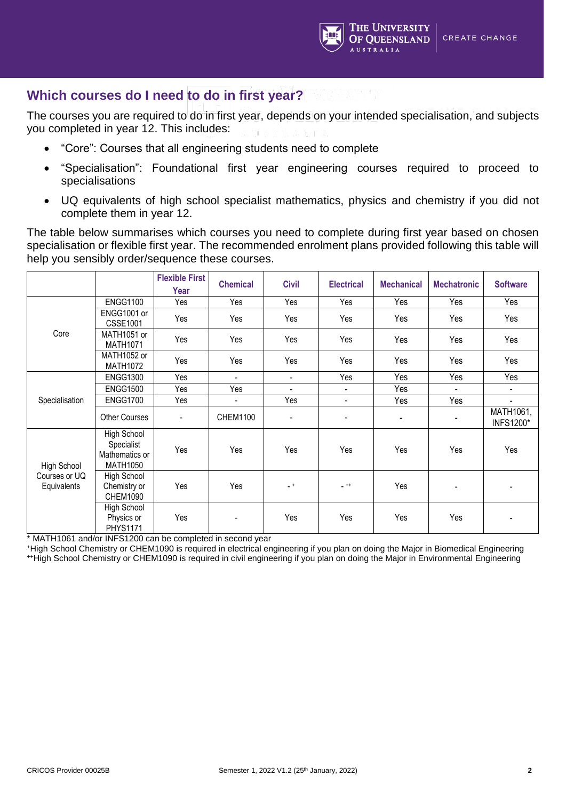

#### **Which courses do I need to do in first year?**

The courses you are required to do in first year, depends on your intended specialisation, and subjects you completed in year 12. This includes:

- "Core": Courses that all engineering students need to complete
- "Specialisation": Foundational first year engineering courses required to proceed to specialisations
- UQ equivalents of high school specialist mathematics, physics and chemistry if you did not complete them in year 12.

The table below summarises which courses you need to complete during first year based on chosen specialisation or flexible first year. The recommended enrolment plans provided following this table will help you sensibly order/sequence these courses.

|                              |                                                                | <b>Flexible First</b><br>Year | <b>Chemical</b>          | <b>Civil</b>   | <b>Electrical</b>        | <b>Mechanical</b> | <b>Mechatronic</b>       | <b>Software</b>               |
|------------------------------|----------------------------------------------------------------|-------------------------------|--------------------------|----------------|--------------------------|-------------------|--------------------------|-------------------------------|
|                              | <b>ENGG1100</b>                                                | Yes                           | Yes                      | Yes            | Yes                      | Yes               | Yes                      | Yes                           |
| Core                         | ENGG1001 or<br><b>CSSE1001</b>                                 | Yes                           | Yes                      | Yes            | Yes                      | Yes               | Yes                      | Yes                           |
|                              | MATH1051 or<br><b>MATH1071</b>                                 | Yes                           | Yes                      | Yes            | Yes                      | Yes               | Yes                      | Yes                           |
|                              | MATH1052 or<br><b>MATH1072</b>                                 | Yes                           | Yes                      | Yes            | Yes                      | Yes               | Yes                      | Yes                           |
|                              | <b>ENGG1300</b>                                                | Yes                           | $\overline{\phantom{a}}$ | $\blacksquare$ | Yes                      | Yes               | Yes                      | Yes                           |
| Specialisation               | <b>ENGG1500</b>                                                | Yes                           | Yes                      | $\blacksquare$ | $\overline{\phantom{a}}$ | Yes               | $\overline{\phantom{0}}$ | $\overline{\phantom{a}}$      |
|                              | <b>ENGG1700</b>                                                | Yes                           | $\overline{\phantom{a}}$ | Yes            | $\overline{\phantom{a}}$ | Yes               | Yes                      | $\blacksquare$                |
|                              | <b>Other Courses</b>                                           | $\overline{\phantom{a}}$      | <b>CHEM1100</b>          | ٠              | -                        | $\blacksquare$    | $\blacksquare$           | MATH1061,<br><b>INFS1200*</b> |
| <b>High School</b>           | High School<br>Specialist<br>Mathematics or<br><b>MATH1050</b> | Yes                           | Yes                      | Yes            | Yes                      | Yes               | Yes                      | Yes                           |
| Courses or UQ<br>Equivalents | High School<br>Chemistry or<br><b>CHEM1090</b>                 | Yes                           | Yes                      | $-$ +          | $-$ ++                   | Yes               | $\overline{\phantom{a}}$ | $\blacksquare$                |
|                              | High School<br>Physics or<br><b>PHYS1171</b>                   | Yes                           | $\overline{\phantom{a}}$ | Yes            | Yes                      | Yes               | Yes                      | $\blacksquare$                |

\* MATH1061 and/or INFS1200 can be completed in second year

<sup>+</sup>High School Chemistry or CHEM1090 is required in electrical engineering if you plan on doing the Major in Biomedical Engineering ++High School Chemistry or CHEM1090 is required in civil engineering if you plan on doing the Major in Environmental Engineering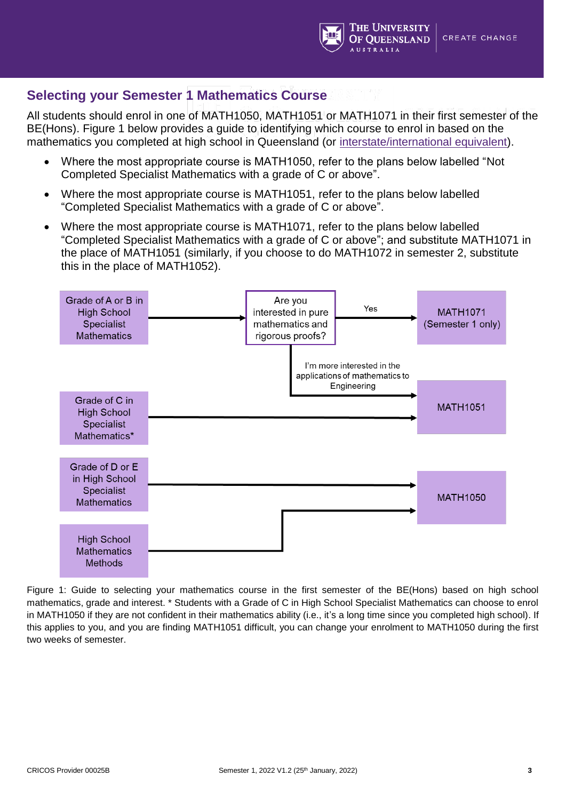

#### **Selecting your Semester 1 Mathematics Course**

All students should enrol in one of MATH1050, MATH1051 or MATH1071 in their first semester of the BE(Hons). Figure 1 below provides a guide to identifying which course to enrol in based on the mathematics you completed at high school in Queensland (or [interstate/international equivalent\)](https://future-students.uq.edu.au/admissions/undergraduate/review-entry-requirements/subject-prerequisite-equivalents).

- Where the most appropriate course is MATH1050, refer to the plans below labelled "Not Completed Specialist Mathematics with a grade of C or above".
- Where the most appropriate course is MATH1051, refer to the plans below labelled "Completed Specialist Mathematics with a grade of C or above".
- Where the most appropriate course is MATH1071, refer to the plans below labelled "Completed Specialist Mathematics with a grade of C or above"; and substitute MATH1071 in the place of MATH1051 (similarly, if you choose to do MATH1072 in semester 2, substitute this in the place of MATH1052).



Figure 1: Guide to selecting your mathematics course in the first semester of the BE(Hons) based on high school mathematics, grade and interest. \* Students with a Grade of C in High School Specialist Mathematics can choose to enrol in MATH1050 if they are not confident in their mathematics ability (i.e., it's a long time since you completed high school). If this applies to you, and you are finding MATH1051 difficult, you can change your enrolment to MATH1050 during the first two weeks of semester.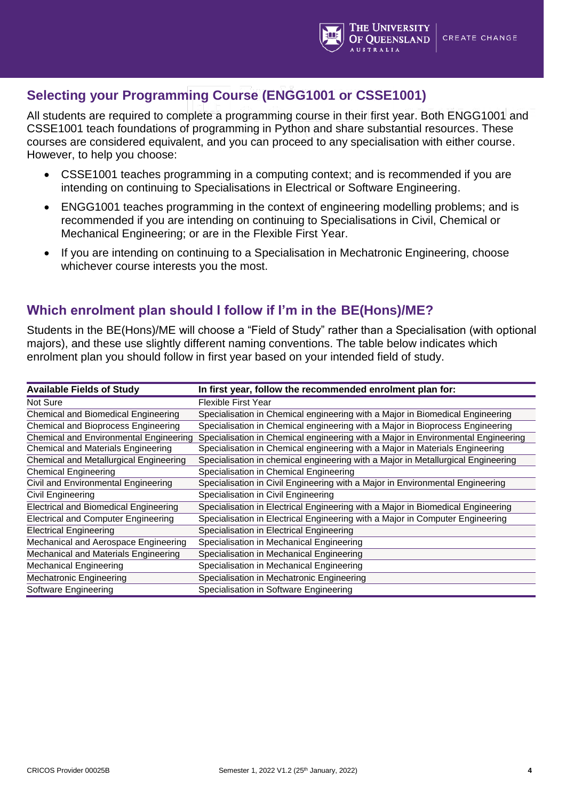

#### **Selecting your Programming Course (ENGG1001 or CSSE1001)**

All students are required to complete a programming course in their first year. Both ENGG1001 and CSSE1001 teach foundations of programming in Python and share substantial resources. These courses are considered equivalent, and you can proceed to any specialisation with either course. However, to help you choose:

- CSSE1001 teaches programming in a computing context; and is recommended if you are intending on continuing to Specialisations in Electrical or Software Engineering.
- ENGG1001 teaches programming in the context of engineering modelling problems; and is recommended if you are intending on continuing to Specialisations in Civil, Chemical or Mechanical Engineering; or are in the Flexible First Year.
- If you are intending on continuing to a Specialisation in Mechatronic Engineering, choose whichever course interests you the most.

#### **Which enrolment plan should I follow if I'm in the BE(Hons)/ME?**

Students in the BE(Hons)/ME will choose a "Field of Study" rather than a Specialisation (with optional majors), and these use slightly different naming conventions. The table below indicates which enrolment plan you should follow in first year based on your intended field of study.

| <b>Available Fields of Study</b>              | In first year, follow the recommended enrolment plan for:                        |
|-----------------------------------------------|----------------------------------------------------------------------------------|
| Not Sure                                      | Flexible First Year                                                              |
| Chemical and Biomedical Engineering           | Specialisation in Chemical engineering with a Major in Biomedical Engineering    |
| Chemical and Bioprocess Engineering           | Specialisation in Chemical engineering with a Major in Bioprocess Engineering    |
| <b>Chemical and Environmental Engineering</b> | Specialisation in Chemical engineering with a Major in Environmental Engineering |
| Chemical and Materials Engineering            | Specialisation in Chemical engineering with a Major in Materials Engineering     |
| Chemical and Metallurgical Engineering        | Specialisation in chemical engineering with a Major in Metallurgical Engineering |
| <b>Chemical Engineering</b>                   | Specialisation in Chemical Engineering                                           |
| Civil and Environmental Engineering           | Specialisation in Civil Engineering with a Major in Environmental Engineering    |
| Civil Engineering                             | Specialisation in Civil Engineering                                              |
| Electrical and Biomedical Engineering         | Specialisation in Electrical Engineering with a Major in Biomedical Engineering  |
| <b>Electrical and Computer Engineering</b>    | Specialisation in Electrical Engineering with a Major in Computer Engineering    |
| <b>Electrical Engineering</b>                 | Specialisation in Electrical Engineering                                         |
| Mechanical and Aerospace Engineering          | Specialisation in Mechanical Engineering                                         |
| Mechanical and Materials Engineering          | Specialisation in Mechanical Engineering                                         |
| <b>Mechanical Engineering</b>                 | Specialisation in Mechanical Engineering                                         |
| <b>Mechatronic Engineering</b>                | Specialisation in Mechatronic Engineering                                        |
| Software Engineering                          | Specialisation in Software Engineering                                           |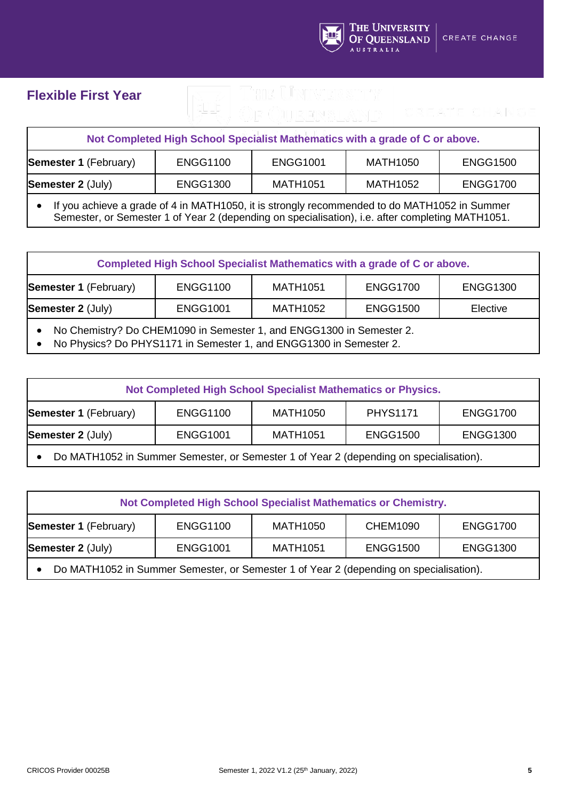

## **Flexible First Year**

| Not Completed High School Specialist Mathematics with a grade of C or above.                             |  |  |  |  |  |  |
|----------------------------------------------------------------------------------------------------------|--|--|--|--|--|--|
| <b>Semester 1 (February)</b><br><b>ENGG1100</b><br><b>ENGG1001</b><br><b>MATH1050</b><br><b>ENGG1500</b> |  |  |  |  |  |  |
| <b>Semester 2 (July)</b><br><b>ENGG1700</b><br><b>ENGG1300</b><br><b>MATH1051</b><br><b>MATH1052</b>     |  |  |  |  |  |  |
| $\bullet$ If vay achieve a grade of 1 in MATH1050 it is etrapely recommended to do MATH1052 in Cummer    |  |  |  |  |  |  |

• If you achieve a grade of 4 in MATH1050, it is strongly recommended to do MATH1052 in Summer Semester, or Semester 1 of Year 2 (depending on specialisation), i.e. after completing MATH1051.

| Completed High School Specialist Mathematics with a grade of C or above.                                                                   |                 |                 |                 |          |  |  |
|--------------------------------------------------------------------------------------------------------------------------------------------|-----------------|-----------------|-----------------|----------|--|--|
| <b>Semester 1 (February)</b><br><b>ENGG1100</b><br><b>MATH1051</b><br><b>ENGG1700</b><br><b>ENGG1300</b>                                   |                 |                 |                 |          |  |  |
| Semester 2 (July)                                                                                                                          | <b>ENGG1001</b> | <b>MATH1052</b> | <b>ENGG1500</b> | Elective |  |  |
| No Chemistry? Do CHEM1090 in Semester 1, and ENGG1300 in Semester 2.<br>No Physics? Do PHYS1171 in Semester 1, and ENGG1300 in Semester 2. |                 |                 |                 |          |  |  |

| Not Completed High School Specialist Mathematics or Physics.                                             |  |  |  |  |  |  |
|----------------------------------------------------------------------------------------------------------|--|--|--|--|--|--|
| <b>Semester 1 (February)</b><br><b>ENGG1100</b><br><b>PHYS1171</b><br><b>MATH1050</b><br><b>ENGG1700</b> |  |  |  |  |  |  |
| <b>Semester 2 (July)</b><br><b>ENGG1300</b><br><b>MATH1051</b><br><b>ENGG1001</b><br><b>ENGG1500</b>     |  |  |  |  |  |  |
| Do MATH1052 in Summer Semester, or Semester 1 of Year 2 (depending on specialisation).                   |  |  |  |  |  |  |

| Not Completed High School Specialist Mathematics or Chemistry.                                           |  |  |  |  |  |  |
|----------------------------------------------------------------------------------------------------------|--|--|--|--|--|--|
| <b>ENGG1100</b><br><b>Semester 1 (February)</b><br><b>CHEM1090</b><br><b>ENGG1700</b><br><b>MATH1050</b> |  |  |  |  |  |  |
| <b>Semester 2 (July)</b><br><b>ENGG1001</b><br><b>ENGG1300</b><br><b>MATH1051</b><br><b>ENGG1500</b>     |  |  |  |  |  |  |
| Do MATH1052 in Summer Semester, or Semester 1 of Year 2 (depending on specialisation).                   |  |  |  |  |  |  |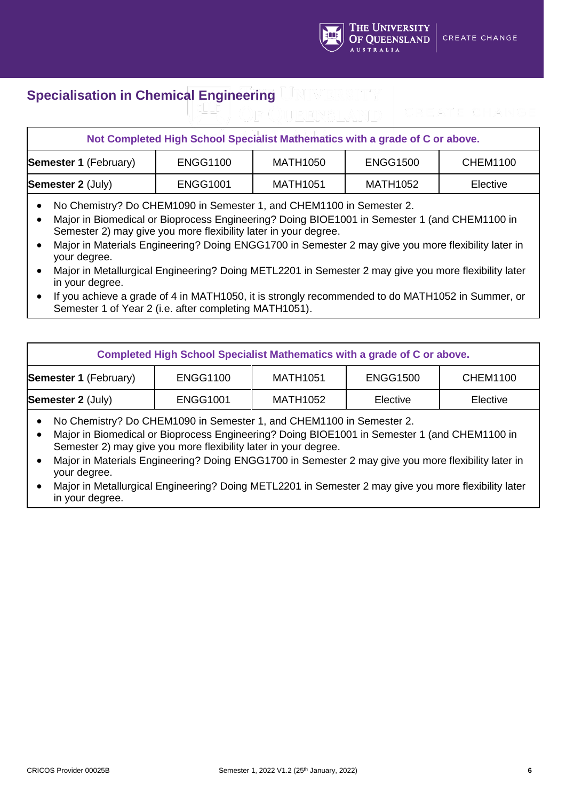

## **Specialisation in Chemical Engineering**

## **Not Completed High School Specialist Mathematics with a grade of C or above. Semester 1** (February) | ENGG1100 | MATH1050 | ENGG1500 | CHEM1100 **Semester 2** (July)  $\begin{array}{|c|c|c|c|c|c|} \hline \textbf{E} & \textbf{E} & \textbf{E} & \textbf{E} \\ \hline \end{array}$  Elective **Example 2** (July)  $\begin{array}{|c|c|c|c|c|c|c|} \hline \textbf{E} & \textbf{E} & \textbf{E} & \textbf{E} & \textbf{E} \\ \hline \end{array}$

- No Chemistry? Do CHEM1090 in Semester 1, and CHEM1100 in Semester 2.
- Major in Biomedical or Bioprocess Engineering? Doing BIOE1001 in Semester 1 (and CHEM1100 in Semester 2) may give you more flexibility later in your degree.
- Major in Materials Engineering? Doing ENGG1700 in Semester 2 may give you more flexibility later in your degree.
- Major in Metallurgical Engineering? Doing METL2201 in Semester 2 may give you more flexibility later in your degree.
- If you achieve a grade of 4 in MATH1050, it is strongly recommended to do MATH1052 in Summer, or Semester 1 of Year 2 (i.e. after completing MATH1051).

| Completed High School Specialist Mathematics with a grade of C or above. |                 |          |                 |                 |  |
|--------------------------------------------------------------------------|-----------------|----------|-----------------|-----------------|--|
| <b>Semester 1 (February)</b>                                             | <b>ENGG1100</b> | MATH1051 | <b>ENGG1500</b> | <b>CHEM1100</b> |  |
| <b>Semester 2 (July)</b>                                                 | <b>ENGG1001</b> | MATH1052 | Elective        | Elective        |  |

- No Chemistry? Do CHEM1090 in Semester 1, and CHEM1100 in Semester 2.
- Major in Biomedical or Bioprocess Engineering? Doing BIOE1001 in Semester 1 (and CHEM1100 in Semester 2) may give you more flexibility later in your degree.
- Major in Materials Engineering? Doing ENGG1700 in Semester 2 may give you more flexibility later in your degree.
- Major in Metallurgical Engineering? Doing METL2201 in Semester 2 may give you more flexibility later in your degree.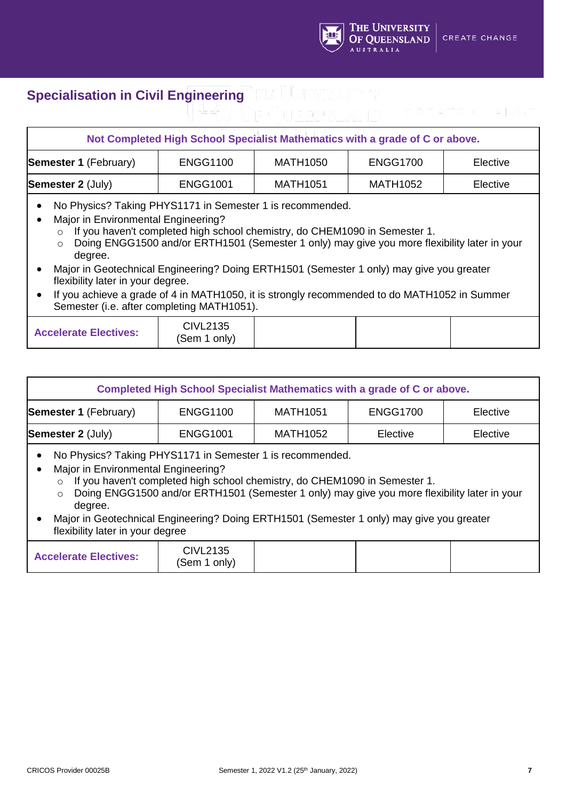

## **Specialisation in Civil Engineering**

## **Not Completed High School Specialist Mathematics with a grade of C or above. Semester 1** (February) | ENGG1100 | MATH1050 | ENGG1700 | Elective **Semester 2** (July)  $\begin{array}{|c|c|c|c|c|c|} \hline \textbf{E} & \textbf{E} & \textbf{E} & \textbf{E} & \textbf{E} \\ \hline \end{array}$  Elective • No Physics? Taking PHYS1171 in Semester 1 is recommended. • Major in Environmental Engineering? o If you haven't completed high school chemistry, do CHEM1090 in Semester 1. o Doing ENGG1500 and/or ERTH1501 (Semester 1 only) may give you more flexibility later in your degree. • Major in Geotechnical Engineering? Doing ERTH1501 (Semester 1 only) may give you greater flexibility later in your degree. If you achieve a grade of 4 in MATH1050, it is strongly recommended to do MATH1052 in Summer Semester (i.e. after completing MATH1051).

| <b>Accelerate Electives:</b> | CIVL2135<br>(Sem 1 only) |  |  |  |
|------------------------------|--------------------------|--|--|--|
|------------------------------|--------------------------|--|--|--|

| Completed High School Specialist Mathematics with a grade of C or above.                                                                                                                          |                 |                 |          |          |  |  |
|---------------------------------------------------------------------------------------------------------------------------------------------------------------------------------------------------|-----------------|-----------------|----------|----------|--|--|
| <b>Semester 1 (February)</b><br><b>ENGG1100</b><br><b>ENGG1700</b><br><b>MATH1051</b><br>Elective                                                                                                 |                 |                 |          |          |  |  |
| <b>Semester 2 (July)</b>                                                                                                                                                                          | <b>ENGG1001</b> | <b>MATH1052</b> | Elective | Elective |  |  |
| No Physics? Taking PHYS1171 in Semester 1 is recommended.<br>Major in Environmental Engineering?<br>$\bullet$<br>$\circ$ If you haven't completed bigh school chemistry do CHFM1090 in Semester 1 |                 |                 |          |          |  |  |

- o If you haven't completed high school chemistry, do CHEM1090 in Semester 1.
- o Doing ENGG1500 and/or ERTH1501 (Semester 1 only) may give you more flexibility later in your degree.
- Major in Geotechnical Engineering? Doing ERTH1501 (Semester 1 only) may give you greater flexibility later in your degree

| CIVL2135<br><b>Accelerate Electives:</b><br>(Sem 1<br>only) |  |
|-------------------------------------------------------------|--|
|-------------------------------------------------------------|--|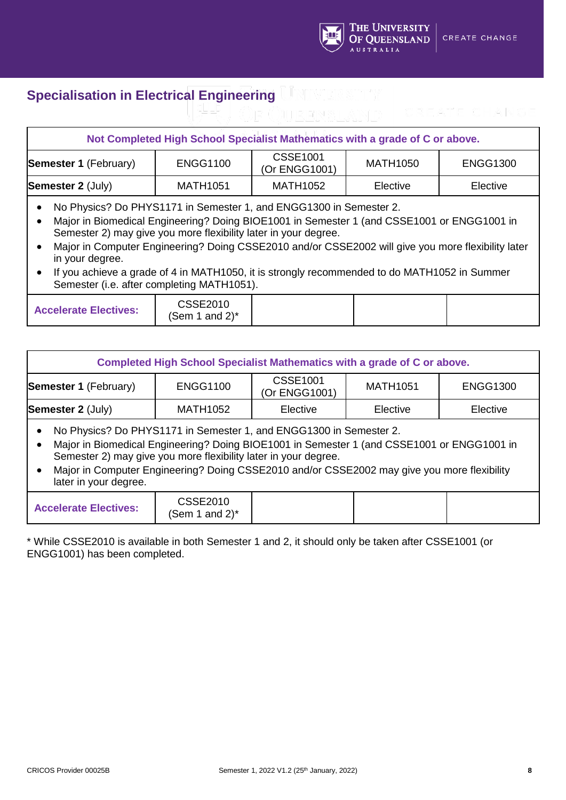

## **Specialisation in Electrical Engineering**

#### **Not Completed High School Specialist Mathematics with a grade of C or above. Semester 1** (February) ENGG1100 CSSE1001 (Or ENGG1001) MATH1050 ENGG1300 **Semester 2** (July)  $\begin{array}{|c|c|c|c|c|} \hline \text{MATH1051} & \text{MATH1052} & \text{Electric} & \text{Electric} \ \hline \end{array}$ • No Physics? Do PHYS1171 in Semester 1, and ENGG1300 in Semester 2. • Major in Biomedical Engineering? Doing BIOE1001 in Semester 1 (and CSSE1001 or ENGG1001 in Semester 2) may give you more flexibility later in your degree. • Major in Computer Engineering? Doing CSSE2010 and/or CSSE2002 will give you more flexibility later in your degree. • If you achieve a grade of 4 in MATH1050, it is strongly recommended to do MATH1052 in Summer Semester (i.e. after completing MATH1051). **Accelerate Electives:** CSSE2010 (Sem 1 and  $2$ )\*

| Completed High School Specialist Mathematics with a grade of C or above.                                                                                                                                                                                                                                                                                    |                                       |                                 |                 |                 |  |  |
|-------------------------------------------------------------------------------------------------------------------------------------------------------------------------------------------------------------------------------------------------------------------------------------------------------------------------------------------------------------|---------------------------------------|---------------------------------|-----------------|-----------------|--|--|
| <b>Semester 1 (February)</b>                                                                                                                                                                                                                                                                                                                                | <b>ENGG1100</b>                       | <b>CSSE1001</b><br>Or ENGG1001) | <b>MATH1051</b> | <b>ENGG1300</b> |  |  |
| <b>Semester 2 (July)</b><br>MATH1052<br>Elective<br>Elective<br>Elective                                                                                                                                                                                                                                                                                    |                                       |                                 |                 |                 |  |  |
| No Physics? Do PHYS1171 in Semester 1, and ENGG1300 in Semester 2.<br>Major in Biomedical Engineering? Doing BIOE1001 in Semester 1 (and CSSE1001 or ENGG1001 in<br>Semester 2) may give you more flexibility later in your degree.<br>Major in Computer Engineering? Doing CSSE2010 and/or CSSE2002 may give you more flexibility<br>later in your degree. |                                       |                                 |                 |                 |  |  |
| <b>Accelerate Electives:</b>                                                                                                                                                                                                                                                                                                                                | <b>CSSE2010</b><br>(Sem 1 and 2) $^*$ |                                 |                 |                 |  |  |

\* While CSSE2010 is available in both Semester 1 and 2, it should only be taken after CSSE1001 (or ENGG1001) has been completed.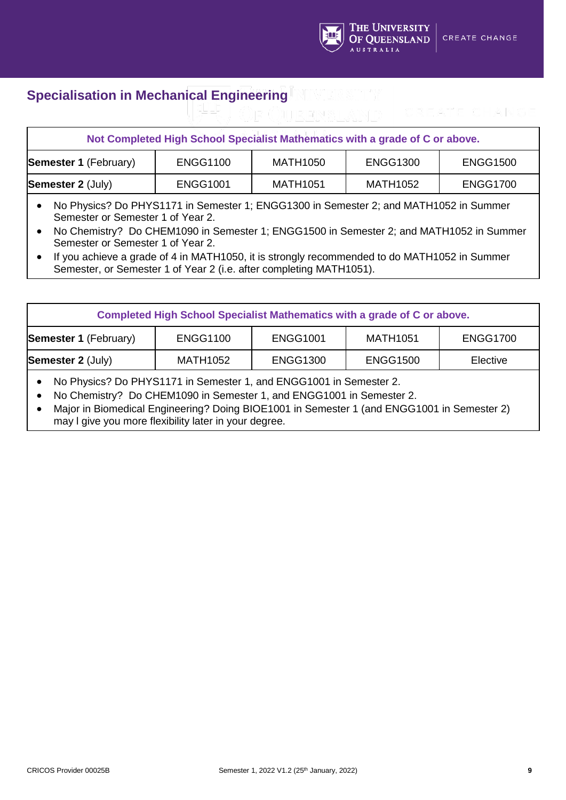

## **Specialisation in Mechanical Engineering**

# **Not Completed High School Specialist Mathematics with a grade of C or above. Semester 1** (February) | ENGG1100 | MATH1050 | ENGG1300 | ENGG1500 **Semester 2** (July)  $\begin{array}{|c|c|c|c|c|c|} \hline \text{ERGG1001} & \text{MATH1051} & \text{MATH1052} & \text{ENGG1700} \hline \end{array}$

- No Physics? Do PHYS1171 in Semester 1; ENGG1300 in Semester 2; and MATH1052 in Summer Semester or Semester 1 of Year 2.
- No Chemistry? Do CHEM1090 in Semester 1; ENGG1500 in Semester 2; and MATH1052 in Summer Semester or Semester 1 of Year 2.
- If you achieve a grade of 4 in MATH1050, it is strongly recommended to do MATH1052 in Summer Semester, or Semester 1 of Year 2 (i.e. after completing MATH1051).

| Completed High School Specialist Mathematics with a grade of C or above. |                 |                 |                 |                 |  |
|--------------------------------------------------------------------------|-----------------|-----------------|-----------------|-----------------|--|
| <b>Semester 1 (February)</b>                                             | <b>ENGG1100</b> | <b>ENGG1001</b> | <b>MATH1051</b> | <b>ENGG1700</b> |  |
| <b>Semester 2 (July)</b>                                                 | MATH1052        | <b>ENGG1300</b> | <b>ENGG1500</b> | Elective        |  |

- No Physics? Do PHYS1171 in Semester 1, and ENGG1001 in Semester 2.
- No Chemistry? Do CHEM1090 in Semester 1, and ENGG1001 in Semester 2.
- Major in Biomedical Engineering? Doing BIOE1001 in Semester 1 (and ENGG1001 in Semester 2) may l give you more flexibility later in your degree.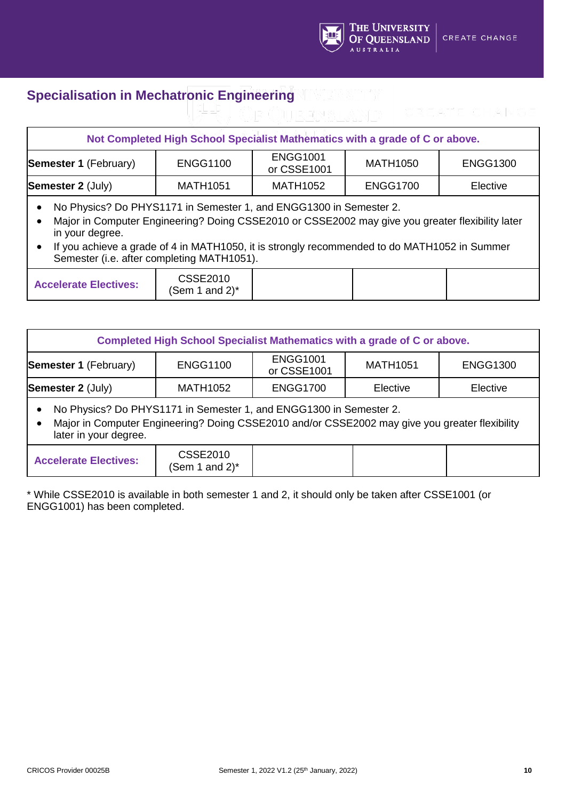

#### **Specialisation in Mechatronic Engineering**

#### **Not Completed High School Specialist Mathematics with a grade of C or above. Semester 1** (February) ENGG1100 ENGG1001 or CSSE1001 MATH1050 ENGG1300 **Semester 2** (July) | MATH1051 | MATH1052 | ENGG1700 | Elective • No Physics? Do PHYS1171 in Semester 1, and ENGG1300 in Semester 2. • Major in Computer Engineering? Doing CSSE2010 or CSSE2002 may give you greater flexibility later in your degree. • If you achieve a grade of 4 in MATH1050, it is strongly recommended to do MATH1052 in Summer Semester (i.e. after completing MATH1051). **Accelerate Electives:** CSSE2010 (Sem 1 and  $2$ )\*

| Completed High School Specialist Mathematics with a grade of C or above.                                                                                                                      |                               |                                |                 |                 |  |  |  |
|-----------------------------------------------------------------------------------------------------------------------------------------------------------------------------------------------|-------------------------------|--------------------------------|-----------------|-----------------|--|--|--|
| <b>Semester 1 (February)</b>                                                                                                                                                                  | <b>ENGG1100</b>               | <b>ENGG1001</b><br>or CSSE1001 | <b>MATH1051</b> | <b>ENGG1300</b> |  |  |  |
| <b>Semester 2 (July)</b>                                                                                                                                                                      | <b>MATH1052</b>               | <b>ENGG1700</b>                | Elective        | Elective        |  |  |  |
| No Physics? Do PHYS1171 in Semester 1, and ENGG1300 in Semester 2.<br>Major in Computer Engineering? Doing CSSE2010 and/or CSSE2002 may give you greater flexibility<br>later in your degree. |                               |                                |                 |                 |  |  |  |
| <b>Accelerate Electives:</b>                                                                                                                                                                  | CSSE2010<br>(Sem 1 and 2) $*$ |                                |                 |                 |  |  |  |

\* While CSSE2010 is available in both semester 1 and 2, it should only be taken after CSSE1001 (or ENGG1001) has been completed.